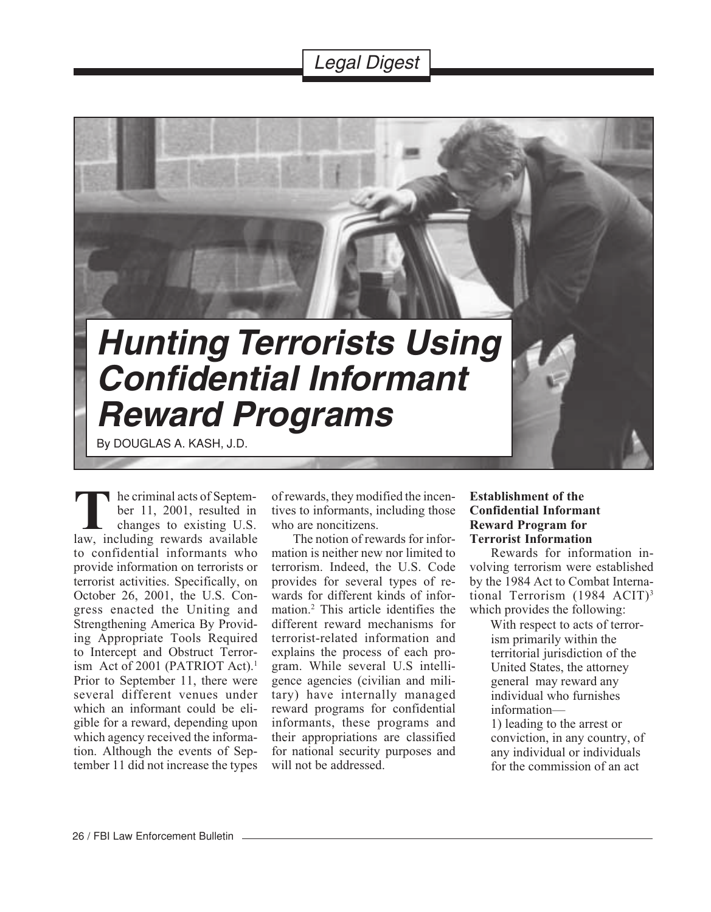# Legal Digest



he criminal acts of September 11, 2001, resulted in changes to existing U.S. **T**le criminal acts of September 11, 2001, resulted in changes to existing U.S.<br>law, including rewards available to confidential informants who provide information on terrorists or terrorist activities. Specifically, on October 26, 2001, the U.S. Congress enacted the Uniting and Strengthening America By Providing Appropriate Tools Required to Intercept and Obstruct Terrorism Act of 2001 (PATRIOT Act).<sup>1</sup> Prior to September 11, there were several different venues under which an informant could be eligible for a reward, depending upon which agency received the information. Although the events of September 11 did not increase the types

of rewards, they modified the incentives to informants, including those who are noncitizens.

The notion of rewards for information is neither new nor limited to terrorism. Indeed, the U.S. Code provides for several types of rewards for different kinds of information.2 This article identifies the different reward mechanisms for terrorist-related information and explains the process of each program. While several U.S intelligence agencies (civilian and military) have internally managed reward programs for confidential informants, these programs and their appropriations are classified for national security purposes and will not be addressed.

### **Establishment of the Confidential Informant Reward Program for Terrorist Information**

Rewards for information involving terrorism were established by the 1984 Act to Combat International Terrorism (1984 ACIT)3 which provides the following:

 With respect to acts of terrorism primarily within the territorial jurisdiction of the United States, the attorney general may reward any individual who furnishes information—

1) leading to the arrest or conviction, in any country, of any individual or individuals for the commission of an act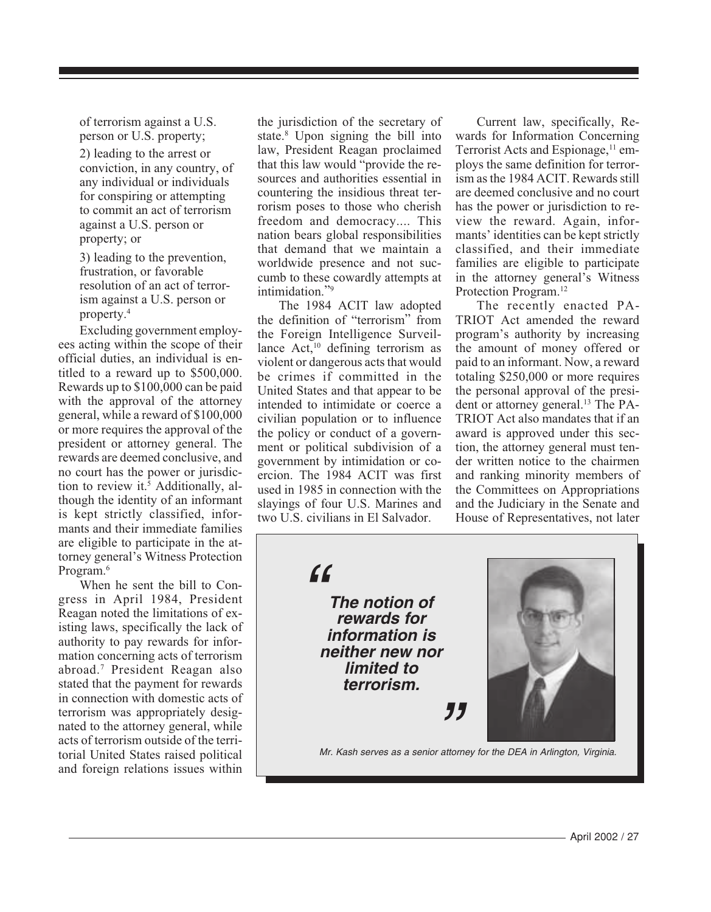of terrorism against a U.S. person or U.S. property;

2) leading to the arrest or conviction, in any country, of any individual or individuals for conspiring or attempting to commit an act of terrorism against a U.S. person or property; or

3) leading to the prevention, frustration, or favorable resolution of an act of terrorism against a U.S. person or property.4

Excluding government employees acting within the scope of their official duties, an individual is entitled to a reward up to \$500,000. Rewards up to \$100,000 can be paid with the approval of the attorney general, while a reward of \$100,000 or more requires the approval of the president or attorney general. The rewards are deemed conclusive, and no court has the power or jurisdiction to review it.<sup>5</sup> Additionally, although the identity of an informant is kept strictly classified, informants and their immediate families are eligible to participate in the attorney general's Witness Protection Program.6

When he sent the bill to Congress in April 1984, President Reagan noted the limitations of existing laws, specifically the lack of authority to pay rewards for information concerning acts of terrorism abroad.7 President Reagan also stated that the payment for rewards in connection with domestic acts of terrorism was appropriately designated to the attorney general, while acts of terrorism outside of the territorial United States raised political and foreign relations issues within

the jurisdiction of the secretary of state.8 Upon signing the bill into law, President Reagan proclaimed that this law would "provide the resources and authorities essential in countering the insidious threat terrorism poses to those who cherish freedom and democracy.... This nation bears global responsibilities that demand that we maintain a worldwide presence and not succumb to these cowardly attempts at intimidation."9

The 1984 ACIT law adopted the definition of "terrorism" from the Foreign Intelligence Surveillance  $Act<sub>10</sub>$  defining terrorism as violent or dangerous acts that would be crimes if committed in the United States and that appear to be intended to intimidate or coerce a civilian population or to influence the policy or conduct of a government or political subdivision of a government by intimidation or coercion. The 1984 ACIT was first used in 1985 in connection with the slayings of four U.S. Marines and two U.S. civilians in El Salvador.

Current law, specifically, Rewards for Information Concerning Terrorist Acts and Espionage,<sup>11</sup> employs the same definition for terrorism as the 1984 ACIT. Rewards still are deemed conclusive and no court has the power or jurisdiction to review the reward. Again, informants' identities can be kept strictly classified, and their immediate families are eligible to participate in the attorney general's Witness Protection Program.<sup>12</sup>

The recently enacted PA-TRIOT Act amended the reward program's authority by increasing the amount of money offered or paid to an informant. Now, a reward totaling \$250,000 or more requires the personal approval of the president or attorney general.<sup>13</sup> The PA-TRIOT Act also mandates that if an award is approved under this section, the attorney general must tender written notice to the chairmen and ranking minority members of the Committees on Appropriations and the Judiciary in the Senate and House of Representatives, not later

 $66$ **The notion of rewards for information is neither new nor limited to terrorism.**



Mr. Kash serves as a senior attorney for the DEA in Arlington, Virginia.

"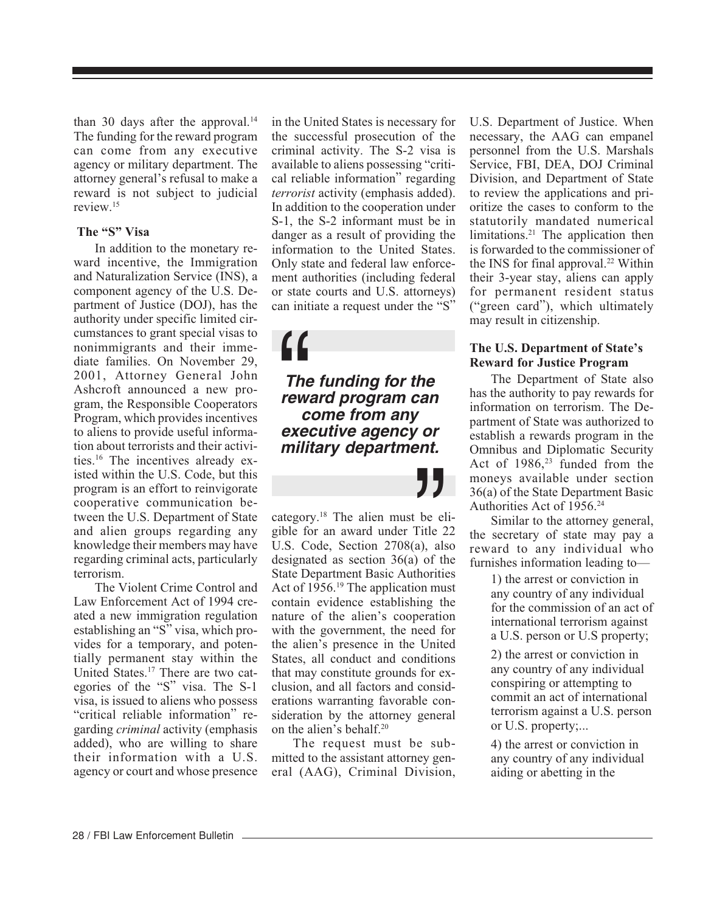than 30 days after the approval. $14$ The funding for the reward program can come from any executive agency or military department. The attorney general's refusal to make a reward is not subject to judicial review.15

## **The "S" Visa**

In addition to the monetary reward incentive, the Immigration and Naturalization Service (INS), a component agency of the U.S. Department of Justice (DOJ), has the authority under specific limited circumstances to grant special visas to nonimmigrants and their immediate families. On November 29, 2001, Attorney General John Ashcroft announced a new program, the Responsible Cooperators Program, which provides incentives to aliens to provide useful information about terrorists and their activities.16 The incentives already existed within the U.S. Code, but this program is an effort to reinvigorate cooperative communication between the U.S. Department of State and alien groups regarding any knowledge their members may have regarding criminal acts, particularly terrorism.

The Violent Crime Control and Law Enforcement Act of 1994 created a new immigration regulation establishing an "S" visa, which provides for a temporary, and potentially permanent stay within the United States.17 There are two categories of the "S" visa. The S-1 visa, is issued to aliens who possess "critical reliable information" regarding *criminal* activity (emphasis added), who are willing to share their information with a U.S. agency or court and whose presence in the United States is necessary for the successful prosecution of the criminal activity. The S-2 visa is available to aliens possessing "critical reliable information" regarding *terrorist* activity (emphasis added). In addition to the cooperation under S-1, the S-2 informant must be in danger as a result of providing the information to the United States. Only state and federal law enforcement authorities (including federal or state courts and U.S. attorneys) can initiate a request under the "S"

**The funding for the reward program can come from any executive agency or military department.**  $\begin{array}{c} \mathbf{H} \\ \mathbf{H} \\ \mathbf{H} \\ \mathbf{H} \\ \mathbf{H} \\ \mathbf{H} \\ \mathbf{H} \\ \mathbf{H} \\ \mathbf{H} \\ \mathbf{H} \\ \mathbf{H} \\ \mathbf{H} \\ \mathbf{H} \\ \mathbf{H} \\ \mathbf{H} \\ \mathbf{H} \\ \mathbf{H} \\ \mathbf{H} \\ \mathbf{H} \\ \mathbf{H} \\ \mathbf{H} \\ \mathbf{H} \\ \mathbf{H} \\ \mathbf{H} \\ \mathbf{H} \\ \mathbf{H} \\ \mathbf{H} \\ \mathbf{H} \\ \mathbf{H} \\ \mathbf{H} \\ \mathbf$ 

 $\sum_{\text{beta 2}}$  be el Title 2<br>a), als<br>b) of the therities category.18 The alien must be eligible for an award under Title 22 U.S. Code, Section 2708(a), also designated as section 36(a) of the State Department Basic Authorities Act of 1956.<sup>19</sup> The application must contain evidence establishing the nature of the alien's cooperation with the government, the need for the alien's presence in the United States, all conduct and conditions that may constitute grounds for exclusion, and all factors and considerations warranting favorable consideration by the attorney general on the alien's behalf.20

The request must be submitted to the assistant attorney general (AAG), Criminal Division, U.S. Department of Justice. When necessary, the AAG can empanel personnel from the U.S. Marshals Service, FBI, DEA, DOJ Criminal Division, and Department of State to review the applications and prioritize the cases to conform to the statutorily mandated numerical limitations.<sup>21</sup> The application then is forwarded to the commissioner of the INS for final approval.<sup>22</sup> Within their 3-year stay, aliens can apply for permanent resident status ("green card"), which ultimately may result in citizenship.

#### **The U.S. Department of State's Reward for Justice Program**

The Department of State also has the authority to pay rewards for information on terrorism. The Department of State was authorized to establish a rewards program in the Omnibus and Diplomatic Security Act of  $1986$ ,<sup>23</sup> funded from the moneys available under section 36(a) of the State Department Basic Authorities Act of 1956.24

Similar to the attorney general, the secretary of state may pay a reward to any individual who furnishes information leading to—

> 1) the arrest or conviction in any country of any individual for the commission of an act of international terrorism against a U.S. person or U.S property;

2) the arrest or conviction in any country of any individual conspiring or attempting to commit an act of international terrorism against a U.S. person or U.S. property;...

4) the arrest or conviction in any country of any individual aiding or abetting in the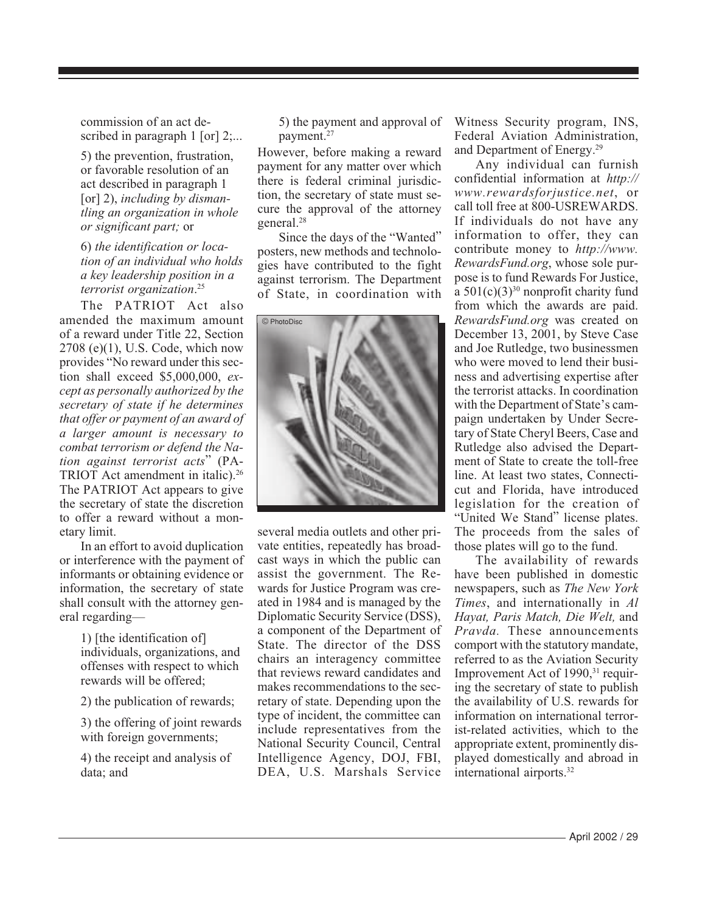commission of an act described in paragraph 1 [or] 2;...

5) the prevention, frustration, or favorable resolution of an act described in paragraph 1 [or] 2), *including by dismantling an organization in whole or significant part;* or

6) *the identification or location of an individual who holds a key leadership position in a terrorist organization*. 25

The PATRIOT Act also amended the maximum amount of a reward under Title 22, Section 2708 (e)(1), U.S. Code, which now provides "No reward under this section shall exceed \$5,000,000, *except as personally authorized by the secretary of state if he determines that offer or payment of an award of a larger amount is necessary to combat terrorism or defend the Nation against terrorist acts*" (PA-TRIOT Act amendment in italic).<sup>26</sup> The PATRIOT Act appears to give the secretary of state the discretion to offer a reward without a monetary limit.

In an effort to avoid duplication or interference with the payment of informants or obtaining evidence or information, the secretary of state shall consult with the attorney general regarding—

> 1) [the identification of] individuals, organizations, and offenses with respect to which rewards will be offered;

2) the publication of rewards;

3) the offering of joint rewards with foreign governments;

4) the receipt and analysis of data; and

5) the payment and approval of payment.27

However, before making a reward payment for any matter over which there is federal criminal jurisdiction, the secretary of state must secure the approval of the attorney general.28

Since the days of the "Wanted" posters, new methods and technologies have contributed to the fight against terrorism. The Department of State, in coordination with



several media outlets and other private entities, repeatedly has broadcast ways in which the public can assist the government. The Rewards for Justice Program was created in 1984 and is managed by the Diplomatic Security Service (DSS), a component of the Department of State. The director of the DSS chairs an interagency committee that reviews reward candidates and makes recommendations to the secretary of state. Depending upon the type of incident, the committee can include representatives from the National Security Council, Central Intelligence Agency, DOJ, FBI, DEA, U.S. Marshals Service Witness Security program, INS, Federal Aviation Administration, and Department of Energy.29

Any individual can furnish confidential information at *http:// www.rewardsforjustice.net*, or call toll free at 800-USREWARDS. If individuals do not have any information to offer, they can contribute money to *http://www. RewardsFund.org*, whose sole purpose is to fund Rewards For Justice, a  $501(c)(3)^{30}$  nonprofit charity fund from which the awards are paid. *RewardsFund.org* was created on December 13, 2001, by Steve Case and Joe Rutledge, two businessmen who were moved to lend their business and advertising expertise after the terrorist attacks. In coordination with the Department of State's campaign undertaken by Under Secretary of State Cheryl Beers, Case and Rutledge also advised the Department of State to create the toll-free line. At least two states, Connecticut and Florida, have introduced legislation for the creation of "United We Stand" license plates. The proceeds from the sales of those plates will go to the fund.

The availability of rewards have been published in domestic newspapers, such as *The New York Times*, and internationally in *Al Hayat, Paris Match, Die Welt,* and *Pravda.* These announcements comport with the statutory mandate, referred to as the Aviation Security Improvement Act of 1990,<sup>31</sup> requiring the secretary of state to publish the availability of U.S. rewards for information on international terrorist-related activities, which to the appropriate extent, prominently displayed domestically and abroad in international airports.32